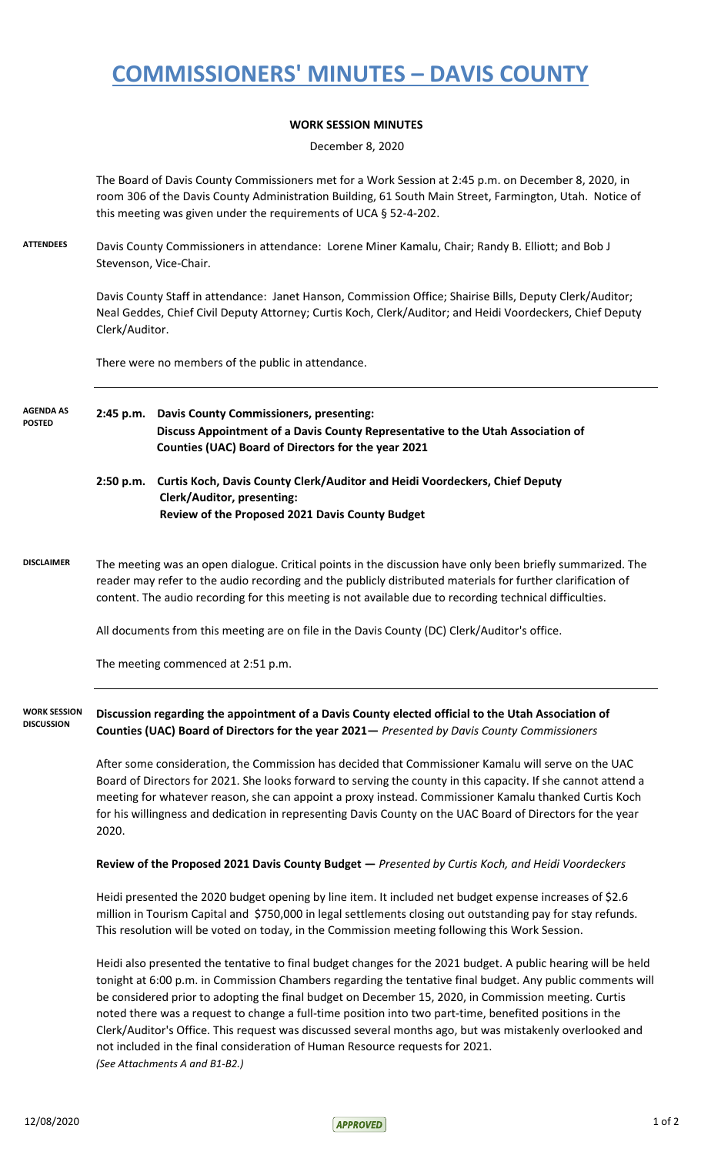## **COMMISSIONERS' MINUTES – DAVIS COUNTY**

## **WORK SESSION MINUTES**

December 8, 2020

The Board of Davis County Commissioners met for a Work Session at 2:45 p.m. on December 8, 2020, in room 306 of the Davis County Administration Building, 61 South Main Street, Farmington, Utah. Notice of this meeting was given under the requirements of UCA § 52-4-202.

**ATTENDEES** Davis County Commissioners in attendance: Lorene Miner Kamalu, Chair; Randy B. Elliott; and Bob J Stevenson, Vice-Chair.

> Davis County Staff in attendance: Janet Hanson, Commission Office; Shairise Bills, Deputy Clerk/Auditor; Neal Geddes, Chief Civil Deputy Attorney; Curtis Koch, Clerk/Auditor; and Heidi Voordeckers, Chief Deputy Clerk/Auditor.

There were no members of the public in attendance.

## **2:45 p.m. Davis County Commissioners, presenting: Discuss Appointment of a Davis County Representative to the Utah Association of Counties (UAC) Board of Directors for the year 2021 AGENDA AS POSTED**

- **2:50 p.m. Curtis Koch, Davis County Clerk/Auditor and Heidi Voordeckers, Chief Deputy Clerk/Auditor, presenting: Review of the Proposed 2021 Davis County Budget**
- **DISCLAIMER** The meeting was an open dialogue. Critical points in the discussion have only been briefly summarized. The reader may refer to the audio recording and the publicly distributed materials for further clarification of content. The audio recording for this meeting is not available due to recording technical difficulties.

All documents from this meeting are on file in the Davis County (DC) Clerk/Auditor's office.

The meeting commenced at 2:51 p.m.

**Discussion regarding the appointment of a Davis County elected official to the Utah Association of Counties (UAC) Board of Directors for the year 2021—** *Presented by Davis County Commissioners* **WORK SESSION DISCUSSION**

> After some consideration, the Commission has decided that Commissioner Kamalu will serve on the UAC Board of Directors for 2021. She looks forward to serving the county in this capacity. If she cannot attend a meeting for whatever reason, she can appoint a proxy instead. Commissioner Kamalu thanked Curtis Koch for his willingness and dedication in representing Davis County on the UAC Board of Directors for the year 2020.

**Review of the Proposed 2021 Davis County Budget —** *Presented by Curtis Koch, and Heidi Voordeckers*

Heidi presented the 2020 budget opening by line item. It included net budget expense increases of \$2.6 million in Tourism Capital and \$750,000 in legal settlements closing out outstanding pay for stay refunds. This resolution will be voted on today, in the Commission meeting following this Work Session.

Heidi also presented the tentative to final budget changes for the 2021 budget. A public hearing will be held tonight at 6:00 p.m. in Commission Chambers regarding the tentative final budget. Any public comments will be considered prior to adopting the final budget on December 15, 2020, in Commission meeting. Curtis noted there was a request to change a full-time position into two part-time, benefited positions in the Clerk/Auditor's Office. This request was discussed several months ago, but was mistakenly overlooked and not included in the final consideration of Human Resource requests for 2021. *(See Attachments A and B1-B2.)*